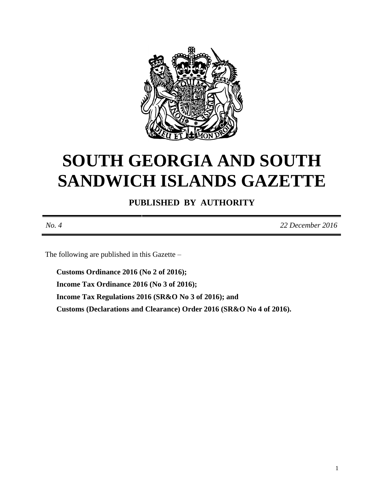

# **SOUTH GEORGIA AND SOUTH SANDWICH ISLANDS GAZETTE**

**PUBLISHED BY AUTHORITY**

*No. 4 22 December 2016*

The following are published in this Gazette –

**Customs Ordinance 2016 (No 2 of 2016); Income Tax Ordinance 2016 (No 3 of 2016); Income Tax Regulations 2016 (SR&O No 3 of 2016); and Customs (Declarations and Clearance) Order 2016 (SR&O No 4 of 2016).**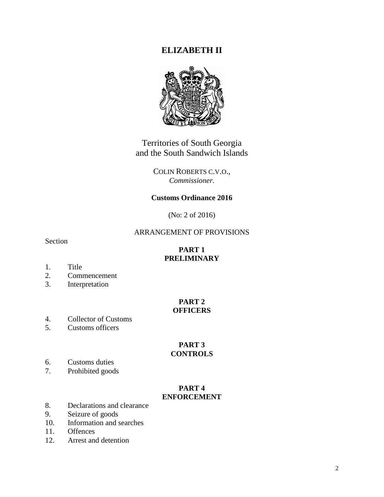# **ELIZABETH II**



Territories of South Georgia and the South Sandwich Islands

> COLIN ROBERTS C.V.O., *Commissioner.*

# **Customs Ordinance 2016**

(No: 2 of 2016)

#### ARRANGEMENT OF PROVISIONS

Section

# **PART 1 PRELIMINARY**

- 1. Title
- 2. Commencement
- 3. Interpretation

#### **PART 2 OFFICERS**

- 4. Collector of Customs
- 5. Customs officers

#### **PART 3 CONTROLS**

- 6. Customs duties<br>7. Prohibited good
- Prohibited goods

#### **PART 4 ENFORCEMENT**

- 8. Declarations and clearance
- 9. Seizure of goods
- 10. Information and searches
- 11. Offences
- 12. Arrest and detention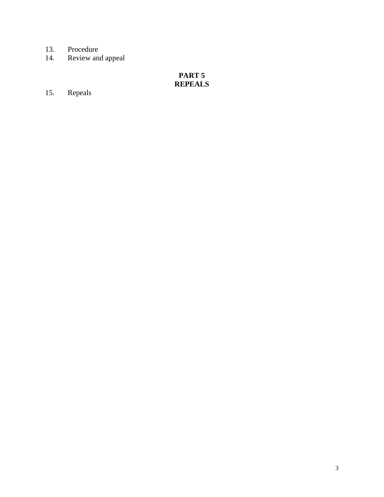- 
- 13. Procedure<br>14. Review and Review and appeal

# **PART 5 REPEALS**

15. Repeals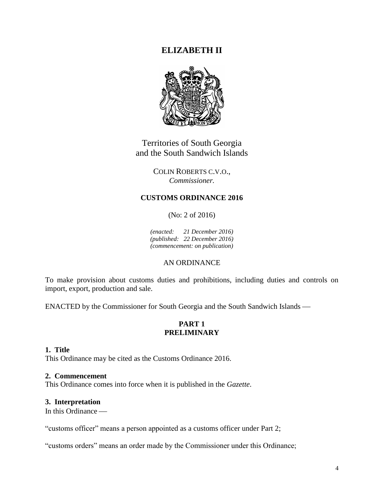# **ELIZABETH II**



Territories of South Georgia and the South Sandwich Islands

> COLIN ROBERTS C.V.O., *Commissioner.*

## **CUSTOMS ORDINANCE 2016**

(No: 2 of 2016)

*(enacted: 21 December 2016) (published: 22 December 2016) (commencement: on publication)*

# AN ORDINANCE

To make provision about customs duties and prohibitions, including duties and controls on import, export, production and sale.

ENACTED by the Commissioner for South Georgia and the South Sandwich Islands

#### **PART 1 PRELIMINARY**

#### **1. Title**

This Ordinance may be cited as the Customs Ordinance 2016.

#### **2. Commencement**

This Ordinance comes into force when it is published in the *Gazette*.

#### **3. Interpretation**

In this Ordinance

"customs officer" means a person appointed as a customs officer under Part 2;

"customs orders" means an order made by the Commissioner under this Ordinance;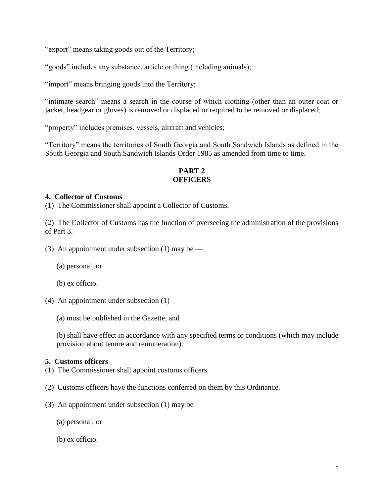"export" means taking goods out of the Territory;

"goods" includes any substance, article or thing (including animals);

"import" means bringing goods into the Territory;

"intimate search" means a search in the course of which clothing (other than an outer coat or jacket, headgear or gloves) is removed or displaced or required to be removed or displaced;

"property" includes premises, vessels, aircraft and vehicles;

"Territory" means the territories of South Georgia and South Sandwich Islands as defined in the South Georgia and South Sandwich Islands Order 1985 as amended from time to time.

# **PART 2 OFFICERS**

#### **4. Collector of Customs**

(1) The Commissioner shall appoint a Collector of Customs.

(2) The Collector of Customs has the function of overseeing the administration of the provisions of Part 3.

(3) An appointment under subsection (1) may be —

(a) personal, or

(b) ex officio.

- (4) An appointment under subsection  $(1)$ 
	- (a) must be published in the Gazette, and

(b) shall have effect in accordance with any specified terms or conditions (which may include provision about tenure and remuneration).

#### **5. Customs officers**

- (1) The Commissioner shall appoint customs officers.
- (2) Customs officers have the functions conferred on them by this Ordinance.
- (3) An appointment under subsection  $(1)$  may be
	- (a) personal, or
	- (b) ex officio.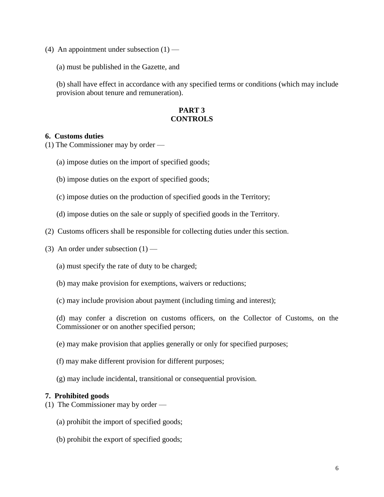- (4) An appointment under subsection  $(1)$ 
	- (a) must be published in the Gazette, and

(b) shall have effect in accordance with any specified terms or conditions (which may include provision about tenure and remuneration).

#### **PART 3 CONTROLS**

#### **6. Customs duties**

(1) The Commissioner may by order —

- (a) impose duties on the import of specified goods;
- (b) impose duties on the export of specified goods;
- (c) impose duties on the production of specified goods in the Territory;
- (d) impose duties on the sale or supply of specified goods in the Territory.
- (2) Customs officers shall be responsible for collecting duties under this section.
- (3) An order under subsection  $(1)$ 
	- (a) must specify the rate of duty to be charged;
	- (b) may make provision for exemptions, waivers or reductions;
	- (c) may include provision about payment (including timing and interest);

(d) may confer a discretion on customs officers, on the Collector of Customs, on the Commissioner or on another specified person;

- (e) may make provision that applies generally or only for specified purposes;
- (f) may make different provision for different purposes;
- (g) may include incidental, transitional or consequential provision.

#### **7. Prohibited goods**

- (1) The Commissioner may by order
	- (a) prohibit the import of specified goods;
	- (b) prohibit the export of specified goods;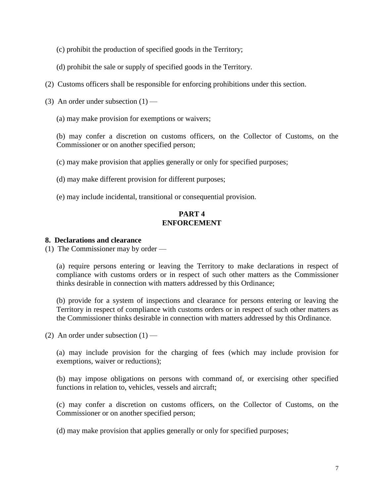- (c) prohibit the production of specified goods in the Territory;
- (d) prohibit the sale or supply of specified goods in the Territory.
- (2) Customs officers shall be responsible for enforcing prohibitions under this section.
- (3) An order under subsection  $(1)$ 
	- (a) may make provision for exemptions or waivers;

(b) may confer a discretion on customs officers, on the Collector of Customs, on the Commissioner or on another specified person;

(c) may make provision that applies generally or only for specified purposes;

- (d) may make different provision for different purposes;
- (e) may include incidental, transitional or consequential provision.

# **PART 4 ENFORCEMENT**

#### **8. Declarations and clearance**

(1) The Commissioner may by order —

(a) require persons entering or leaving the Territory to make declarations in respect of compliance with customs orders or in respect of such other matters as the Commissioner thinks desirable in connection with matters addressed by this Ordinance;

(b) provide for a system of inspections and clearance for persons entering or leaving the Territory in respect of compliance with customs orders or in respect of such other matters as the Commissioner thinks desirable in connection with matters addressed by this Ordinance.

(2) An order under subsection  $(1)$  —

(a) may include provision for the charging of fees (which may include provision for exemptions, waiver or reductions);

(b) may impose obligations on persons with command of, or exercising other specified functions in relation to, vehicles, vessels and aircraft;

(c) may confer a discretion on customs officers, on the Collector of Customs, on the Commissioner or on another specified person;

(d) may make provision that applies generally or only for specified purposes;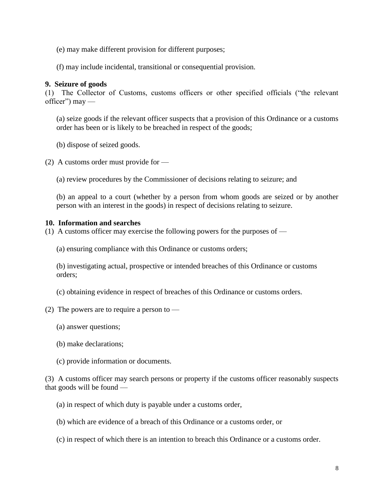- (e) may make different provision for different purposes;
- (f) may include incidental, transitional or consequential provision.

#### **9. Seizure of goods**

(1) The Collector of Customs, customs officers or other specified officials ("the relevant  $officer"$ ) may —

(a) seize goods if the relevant officer suspects that a provision of this Ordinance or a customs order has been or is likely to be breached in respect of the goods;

(b) dispose of seized goods.

(2) A customs order must provide for —

(a) review procedures by the Commissioner of decisions relating to seizure; and

(b) an appeal to a court (whether by a person from whom goods are seized or by another person with an interest in the goods) in respect of decisions relating to seizure.

#### **10. Information and searches**

(1) A customs officer may exercise the following powers for the purposes of —

(a) ensuring compliance with this Ordinance or customs orders;

(b) investigating actual, prospective or intended breaches of this Ordinance or customs orders;

(c) obtaining evidence in respect of breaches of this Ordinance or customs orders.

- (2) The powers are to require a person to  $-$ 
	- (a) answer questions;
	- (b) make declarations;
	- (c) provide information or documents.

(3) A customs officer may search persons or property if the customs officer reasonably suspects that goods will be found —

- (a) in respect of which duty is payable under a customs order,
- (b) which are evidence of a breach of this Ordinance or a customs order, or
- (c) in respect of which there is an intention to breach this Ordinance or a customs order.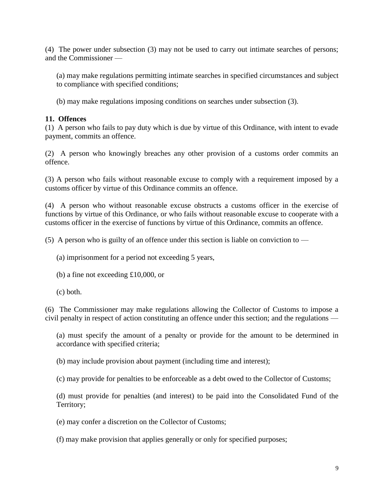(4) The power under subsection (3) may not be used to carry out intimate searches of persons; and the Commissioner —

(a) may make regulations permitting intimate searches in specified circumstances and subject to compliance with specified conditions;

(b) may make regulations imposing conditions on searches under subsection (3).

# **11. Offences**

(1) A person who fails to pay duty which is due by virtue of this Ordinance, with intent to evade payment, commits an offence.

(2) A person who knowingly breaches any other provision of a customs order commits an offence.

(3) A person who fails without reasonable excuse to comply with a requirement imposed by a customs officer by virtue of this Ordinance commits an offence.

(4) A person who without reasonable excuse obstructs a customs officer in the exercise of functions by virtue of this Ordinance, or who fails without reasonable excuse to cooperate with a customs officer in the exercise of functions by virtue of this Ordinance, commits an offence.

(5) A person who is guilty of an offence under this section is liable on conviction to  $-$ 

(a) imprisonment for a period not exceeding 5 years,

- (b) a fine not exceeding £10,000, or
- (c) both.

(6) The Commissioner may make regulations allowing the Collector of Customs to impose a civil penalty in respect of action constituting an offence under this section; and the regulations —

(a) must specify the amount of a penalty or provide for the amount to be determined in accordance with specified criteria;

(b) may include provision about payment (including time and interest);

(c) may provide for penalties to be enforceable as a debt owed to the Collector of Customs;

(d) must provide for penalties (and interest) to be paid into the Consolidated Fund of the Territory;

(e) may confer a discretion on the Collector of Customs;

(f) may make provision that applies generally or only for specified purposes;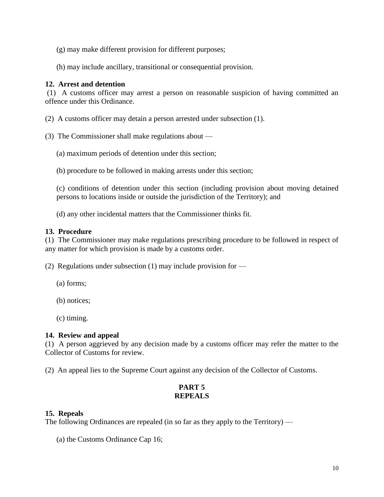- (g) may make different provision for different purposes;
- (h) may include ancillary, transitional or consequential provision.

## **12. Arrest and detention**

(1) A customs officer may arrest a person on reasonable suspicion of having committed an offence under this Ordinance.

- (2) A customs officer may detain a person arrested under subsection (1).
- (3) The Commissioner shall make regulations about
	- (a) maximum periods of detention under this section;
	- (b) procedure to be followed in making arrests under this section;

(c) conditions of detention under this section (including provision about moving detained persons to locations inside or outside the jurisdiction of the Territory); and

(d) any other incidental matters that the Commissioner thinks fit.

#### **13. Procedure**

(1) The Commissioner may make regulations prescribing procedure to be followed in respect of any matter for which provision is made by a customs order.

(2) Regulations under subsection (1) may include provision for —

- (a) forms;
- (b) notices;
- (c) timing.

#### **14. Review and appeal**

(1) A person aggrieved by any decision made by a customs officer may refer the matter to the Collector of Customs for review.

(2) An appeal lies to the Supreme Court against any decision of the Collector of Customs.

# **PART 5 REPEALS**

#### **15. Repeals**

The following Ordinances are repealed (in so far as they apply to the Territory) —

(a) the Customs Ordinance Cap 16;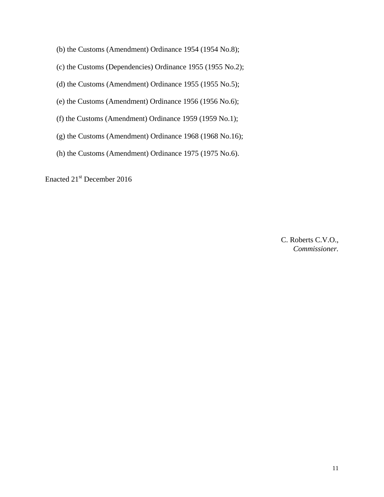(b) the Customs (Amendment) Ordinance 1954 (1954 No.8);

(c) the Customs (Dependencies) Ordinance 1955 (1955 No.2);

(d) the Customs (Amendment) Ordinance 1955 (1955 No.5);

(e) the Customs (Amendment) Ordinance 1956 (1956 No.6);

(f) the Customs (Amendment) Ordinance 1959 (1959 No.1);

(g) the Customs (Amendment) Ordinance 1968 (1968 No.16);

(h) the Customs (Amendment) Ordinance 1975 (1975 No.6).

Enacted 21<sup>st</sup> December 2016

C. Roberts C.V.O., *Commissioner.*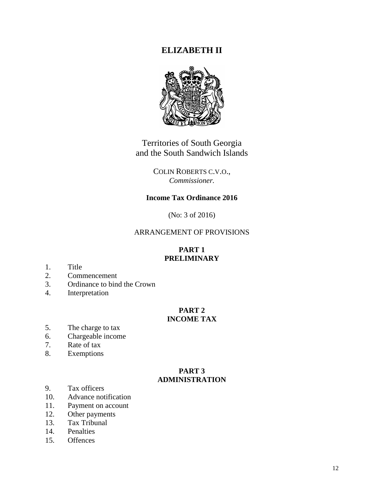# **ELIZABETH II**



Territories of South Georgia and the South Sandwich Islands

> COLIN ROBERTS C.V.O., *Commissioner.*

# **Income Tax Ordinance 2016**

(No: 3 of 2016)

# ARRANGEMENT OF PROVISIONS

# **PART 1 PRELIMINARY**

- 1. Title
- 2. Commencement
- 3. Ordinance to bind the Crown
- 4. Interpretation

#### **PART 2 INCOME TAX**

- 5. The charge to tax
- 6. Chargeable income
- 7. Rate of tax
- 8. Exemptions

#### **PART 3 ADMINISTRATION**

- 9. Tax officers
- 10. Advance notification
- 11. Payment on account
- 12. Other payments
- 13. Tax Tribunal
- 14. Penalties
- 15. Offences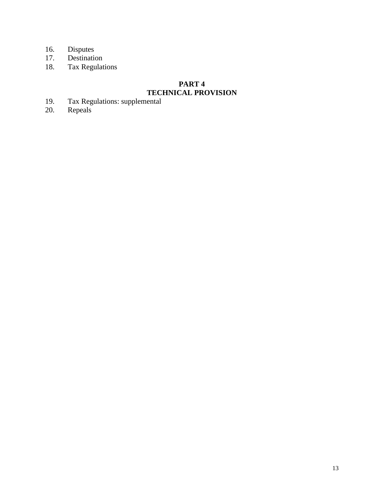- 16. Disputes<br>17. Destination
- 17. Destination
- 18. Tax Regulations

# **PART 4 TECHNICAL PROVISION**

- 19. Tax Regulations: supplemental
- 20. Repeals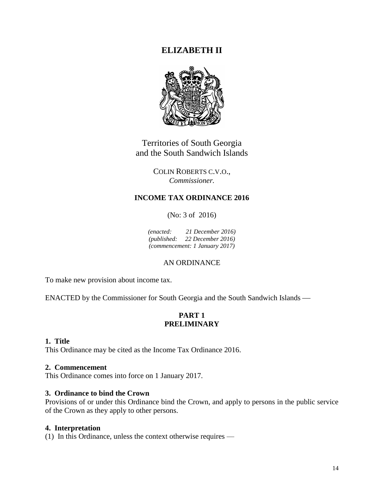# **ELIZABETH II**



Territories of South Georgia and the South Sandwich Islands

> COLIN ROBERTS C.V.O., *Commissioner.*

# **INCOME TAX ORDINANCE 2016**

(No: 3 of 2016)

*(enacted: 21 December 2016) (published: 22 December 2016) (commencement: 1 January 2017)*

# AN ORDINANCE

To make new provision about income tax.

ENACTED by the Commissioner for South Georgia and the South Sandwich Islands

# **PART 1 PRELIMINARY**

# **1. Title**

This Ordinance may be cited as the Income Tax Ordinance 2016.

#### **2. Commencement**

This Ordinance comes into force on 1 January 2017.

#### **3. Ordinance to bind the Crown**

Provisions of or under this Ordinance bind the Crown, and apply to persons in the public service of the Crown as they apply to other persons.

#### **4. Interpretation**

(1) In this Ordinance, unless the context otherwise requires —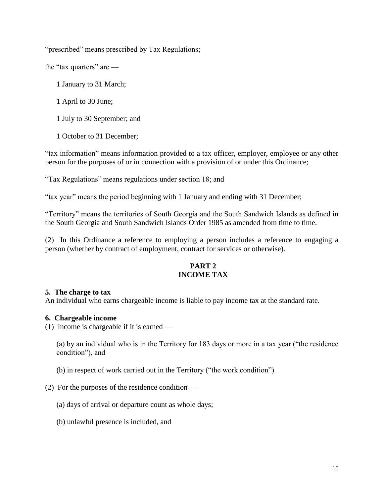"prescribed" means prescribed by Tax Regulations;

the "tax quarters" are —

- 1 January to 31 March;
- 1 April to 30 June;
- 1 July to 30 September; and
- 1 October to 31 December;

"tax information" means information provided to a tax officer, employer, employee or any other person for the purposes of or in connection with a provision of or under this Ordinance;

"Tax Regulations" means regulations under section 18; and

"tax year" means the period beginning with 1 January and ending with 31 December;

"Territory" means the territories of South Georgia and the South Sandwich Islands as defined in the South Georgia and South Sandwich Islands Order 1985 as amended from time to time.

(2) In this Ordinance a reference to employing a person includes a reference to engaging a person (whether by contract of employment, contract for services or otherwise).

## **PART 2 INCOME TAX**

#### **5. The charge to tax**

An individual who earns chargeable income is liable to pay income tax at the standard rate.

#### **6. Chargeable income**

(1) Income is chargeable if it is earned —

(a) by an individual who is in the Territory for 183 days or more in a tax year ("the residence condition"), and

- (b) in respect of work carried out in the Territory ("the work condition").
- (2) For the purposes of the residence condition
	- (a) days of arrival or departure count as whole days;
	- (b) unlawful presence is included, and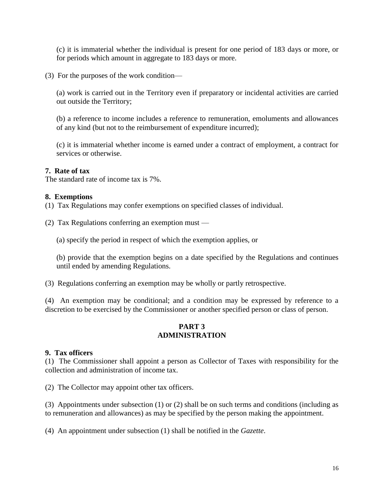(c) it is immaterial whether the individual is present for one period of 183 days or more, or for periods which amount in aggregate to 183 days or more.

(3) For the purposes of the work condition—

(a) work is carried out in the Territory even if preparatory or incidental activities are carried out outside the Territory;

(b) a reference to income includes a reference to remuneration, emoluments and allowances of any kind (but not to the reimbursement of expenditure incurred);

(c) it is immaterial whether income is earned under a contract of employment, a contract for services or otherwise.

## **7. Rate of tax**

The standard rate of income tax is 7%.

#### **8. Exemptions**

(1) Tax Regulations may confer exemptions on specified classes of individual.

(2) Tax Regulations conferring an exemption must —

(a) specify the period in respect of which the exemption applies, or

(b) provide that the exemption begins on a date specified by the Regulations and continues until ended by amending Regulations.

(3) Regulations conferring an exemption may be wholly or partly retrospective.

(4) An exemption may be conditional; and a condition may be expressed by reference to a discretion to be exercised by the Commissioner or another specified person or class of person.

#### **PART 3 ADMINISTRATION**

#### **9. Tax officers**

(1) The Commissioner shall appoint a person as Collector of Taxes with responsibility for the collection and administration of income tax.

(2) The Collector may appoint other tax officers.

(3) Appointments under subsection (1) or (2) shall be on such terms and conditions (including as to remuneration and allowances) as may be specified by the person making the appointment.

(4) An appointment under subsection (1) shall be notified in the *Gazette*.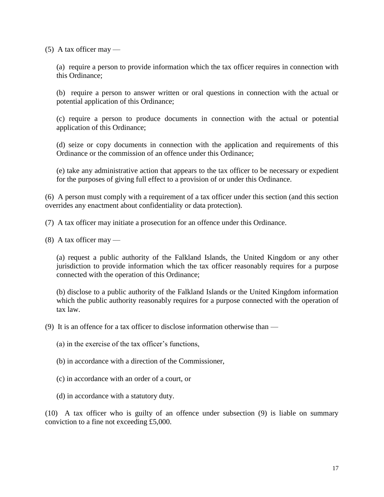$(5)$  A tax officer may —

(a) require a person to provide information which the tax officer requires in connection with this Ordinance;

(b) require a person to answer written or oral questions in connection with the actual or potential application of this Ordinance;

(c) require a person to produce documents in connection with the actual or potential application of this Ordinance;

(d) seize or copy documents in connection with the application and requirements of this Ordinance or the commission of an offence under this Ordinance;

(e) take any administrative action that appears to the tax officer to be necessary or expedient for the purposes of giving full effect to a provision of or under this Ordinance.

(6) A person must comply with a requirement of a tax officer under this section (and this section overrides any enactment about confidentiality or data protection).

(7) A tax officer may initiate a prosecution for an offence under this Ordinance.

 $(8)$  A tax officer may —

(a) request a public authority of the Falkland Islands, the United Kingdom or any other jurisdiction to provide information which the tax officer reasonably requires for a purpose connected with the operation of this Ordinance;

(b) disclose to a public authority of the Falkland Islands or the United Kingdom information which the public authority reasonably requires for a purpose connected with the operation of tax law.

(9) It is an offence for a tax officer to disclose information otherwise than —

(a) in the exercise of the tax officer's functions,

(b) in accordance with a direction of the Commissioner,

(c) in accordance with an order of a court, or

(d) in accordance with a statutory duty.

(10) A tax officer who is guilty of an offence under subsection (9) is liable on summary conviction to a fine not exceeding £5,000.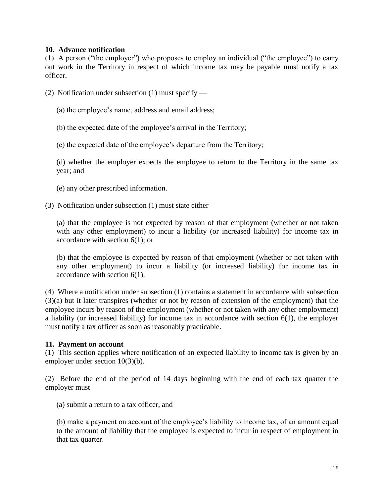#### **10. Advance notification**

(1) A person ("the employer") who proposes to employ an individual ("the employee") to carry out work in the Territory in respect of which income tax may be payable must notify a tax officer.

- (2) Notification under subsection (1) must specify
	- (a) the employee's name, address and email address;
	- (b) the expected date of the employee's arrival in the Territory;
	- (c) the expected date of the employee's departure from the Territory;

(d) whether the employer expects the employee to return to the Territory in the same tax year; and

- (e) any other prescribed information.
- (3) Notification under subsection (1) must state either —

(a) that the employee is not expected by reason of that employment (whether or not taken with any other employment) to incur a liability (or increased liability) for income tax in accordance with section 6(1); or

(b) that the employee is expected by reason of that employment (whether or not taken with any other employment) to incur a liability (or increased liability) for income tax in accordance with section 6(1).

(4) Where a notification under subsection (1) contains a statement in accordance with subsection (3)(a) but it later transpires (whether or not by reason of extension of the employment) that the employee incurs by reason of the employment (whether or not taken with any other employment) a liability (or increased liability) for income tax in accordance with section 6(1), the employer must notify a tax officer as soon as reasonably practicable.

#### **11. Payment on account**

(1) This section applies where notification of an expected liability to income tax is given by an employer under section 10(3)(b).

(2) Before the end of the period of 14 days beginning with the end of each tax quarter the employer must —

(a) submit a return to a tax officer, and

(b) make a payment on account of the employee's liability to income tax, of an amount equal to the amount of liability that the employee is expected to incur in respect of employment in that tax quarter.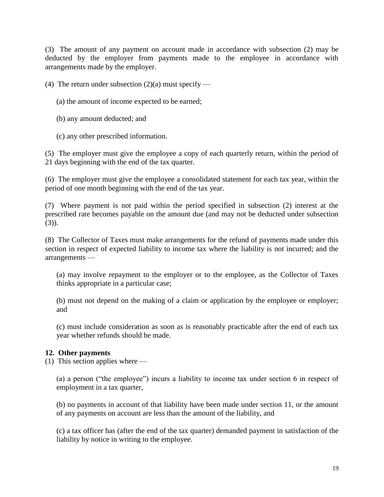(3) The amount of any payment on account made in accordance with subsection (2) may be deducted by the employer from payments made to the employee in accordance with arrangements made by the employer.

(4) The return under subsection  $(2)(a)$  must specify —

- (a) the amount of income expected to be earned;
- (b) any amount deducted; and
- (c) any other prescribed information.

(5) The employer must give the employee a copy of each quarterly return, within the period of 21 days beginning with the end of the tax quarter.

(6) The employer must give the employee a consolidated statement for each tax year, within the period of one month beginning with the end of the tax year.

(7) Where payment is not paid within the period specified in subsection (2) interest at the prescribed rate becomes payable on the amount due (and may not be deducted under subsection  $(3)$ ).

(8) The Collector of Taxes must make arrangements for the refund of payments made under this section in respect of expected liability to income tax where the liability is not incurred; and the arrangements —

(a) may involve repayment to the employer or to the employee, as the Collector of Taxes thinks appropriate in a particular case;

(b) must not depend on the making of a claim or application by the employee or employer; and

(c) must include consideration as soon as is reasonably practicable after the end of each tax year whether refunds should be made.

# **12. Other payments**

(1) This section applies where —

(a) a person ("the employee") incurs a liability to income tax under section 6 in respect of employment in a tax quarter,

(b) no payments in account of that liability have been made under section 11, or the amount of any payments on account are less than the amount of the liability, and

(c) a tax officer has (after the end of the tax quarter) demanded payment in satisfaction of the liability by notice in writing to the employee.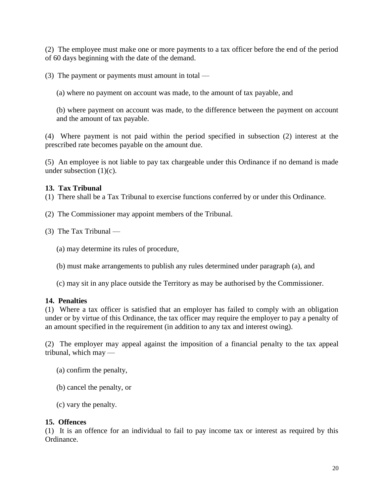(2) The employee must make one or more payments to a tax officer before the end of the period of 60 days beginning with the date of the demand.

(3) The payment or payments must amount in total —

(a) where no payment on account was made, to the amount of tax payable, and

(b) where payment on account was made, to the difference between the payment on account and the amount of tax payable.

(4) Where payment is not paid within the period specified in subsection (2) interest at the prescribed rate becomes payable on the amount due.

(5) An employee is not liable to pay tax chargeable under this Ordinance if no demand is made under subsection (1)(c).

# **13. Tax Tribunal**

(1) There shall be a Tax Tribunal to exercise functions conferred by or under this Ordinance.

- (2) The Commissioner may appoint members of the Tribunal.
- (3) The Tax Tribunal —

(a) may determine its rules of procedure,

- (b) must make arrangements to publish any rules determined under paragraph (a), and
- (c) may sit in any place outside the Territory as may be authorised by the Commissioner.

# **14. Penalties**

(1) Where a tax officer is satisfied that an employer has failed to comply with an obligation under or by virtue of this Ordinance, the tax officer may require the employer to pay a penalty of an amount specified in the requirement (in addition to any tax and interest owing).

(2) The employer may appeal against the imposition of a financial penalty to the tax appeal tribunal, which may —

- (a) confirm the penalty,
- (b) cancel the penalty, or
- (c) vary the penalty.

# **15. Offences**

(1) It is an offence for an individual to fail to pay income tax or interest as required by this Ordinance.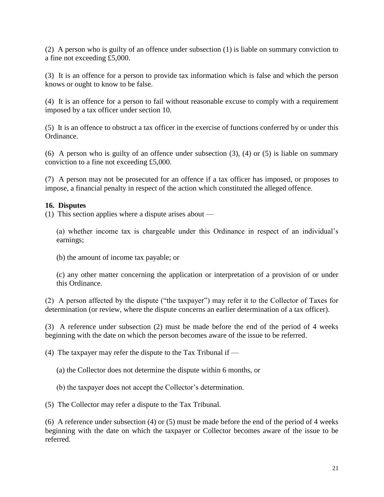(2) A person who is guilty of an offence under subsection (1) is liable on summary conviction to a fine not exceeding £5,000.

(3) It is an offence for a person to provide tax information which is false and which the person knows or ought to know to be false.

(4) It is an offence for a person to fail without reasonable excuse to comply with a requirement imposed by a tax officer under section 10.

(5) It is an offence to obstruct a tax officer in the exercise of functions conferred by or under this Ordinance.

(6) A person who is guilty of an offence under subsection (3), (4) or (5) is liable on summary conviction to a fine not exceeding £5,000.

(7) A person may not be prosecuted for an offence if a tax officer has imposed, or proposes to impose, a financial penalty in respect of the action which constituted the alleged offence.

# **16. Disputes**

(1) This section applies where a dispute arises about —

(a) whether income tax is chargeable under this Ordinance in respect of an individual's earnings;

(b) the amount of income tax payable; or

(c) any other matter concerning the application or interpretation of a provision of or under this Ordinance.

(2) A person affected by the dispute ("the taxpayer") may refer it to the Collector of Taxes for determination (or review, where the dispute concerns an earlier determination of a tax officer).

(3) A reference under subsection (2) must be made before the end of the period of 4 weeks beginning with the date on which the person becomes aware of the issue to be referred.

(4) The taxpayer may refer the dispute to the Tax Tribunal if  $-$ 

(a) the Collector does not determine the dispute within 6 months, or

(b) the taxpayer does not accept the Collector's determination.

(5) The Collector may refer a dispute to the Tax Tribunal.

(6) A reference under subsection (4) or (5) must be made before the end of the period of 4 weeks beginning with the date on which the taxpayer or Collector becomes aware of the issue to be referred.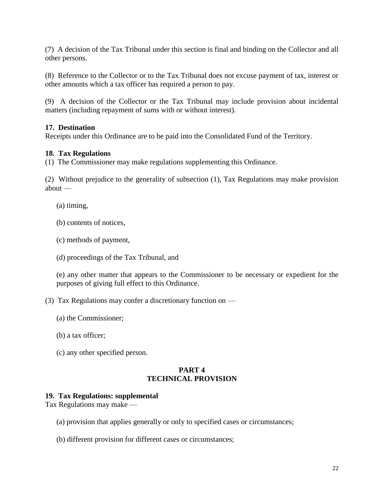(7) A decision of the Tax Tribunal under this section is final and binding on the Collector and all other persons.

(8) Reference to the Collector or to the Tax Tribunal does not excuse payment of tax, interest or other amounts which a tax officer has required a person to pay.

(9) A decision of the Collector or the Tax Tribunal may include provision about incidental matters (including repayment of sums with or without interest).

# **17. Destination**

Receipts under this Ordinance are to be paid into the Consolidated Fund of the Territory.

## **18. Tax Regulations**

(1) The Commissioner may make regulations supplementing this Ordinance.

(2) Without prejudice to the generality of subsection (1), Tax Regulations may make provision about —

(a) timing,

(b) contents of notices,

- (c) methods of payment,
- (d) proceedings of the Tax Tribunal, and

(e) any other matter that appears to the Commissioner to be necessary or expedient for the purposes of giving full effect to this Ordinance.

(3) Tax Regulations may confer a discretionary function on —

- (a) the Commissioner;
- (b) a tax officer;
- (c) any other specified person.

## **PART 4 TECHNICAL PROVISION**

#### **19. Tax Regulations: supplemental**

Tax Regulations may make —

- (a) provision that applies generally or only to specified cases or circumstances;
- (b) different provision for different cases or circumstances;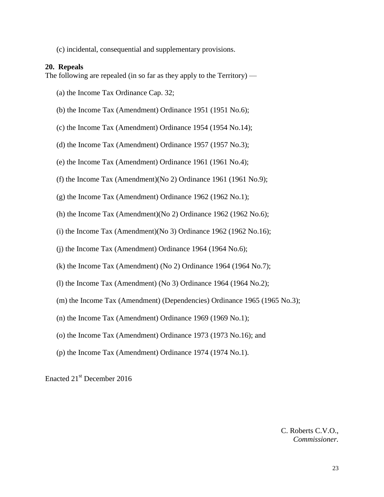(c) incidental, consequential and supplementary provisions.

#### **20. Repeals**

The following are repealed (in so far as they apply to the Territory) —

(a) the Income Tax Ordinance Cap. 32;

(b) the Income Tax (Amendment) Ordinance 1951 (1951 No.6);

(c) the Income Tax (Amendment) Ordinance 1954 (1954 No.14);

(d) the Income Tax (Amendment) Ordinance 1957 (1957 No.3);

(e) the Income Tax (Amendment) Ordinance 1961 (1961 No.4);

(f) the Income Tax (Amendment)(No 2) Ordinance 1961 (1961 No.9);

(g) the Income Tax (Amendment) Ordinance 1962 (1962 No.1);

(h) the Income Tax (Amendment)(No 2) Ordinance 1962 (1962 No.6);

(i) the Income Tax (Amendment)(No 3) Ordinance  $1962$  (1962 No.16);

 $(i)$  the Income Tax (Amendment) Ordinance 1964 (1964 No.6);

(k) the Income Tax (Amendment) (No 2) Ordinance 1964 (1964 No.7);

(I) the Income Tax (Amendment) (No 3) Ordinance  $1964$  (1964 No.2);

(m) the Income Tax (Amendment) (Dependencies) Ordinance 1965 (1965 No.3);

(n) the Income Tax (Amendment) Ordinance 1969 (1969 No.1);

(o) the Income Tax (Amendment) Ordinance 1973 (1973 No.16); and

(p) the Income Tax (Amendment) Ordinance 1974 (1974 No.1).

Enacted 21st December 2016

C. Roberts C.V.O., *Commissioner.*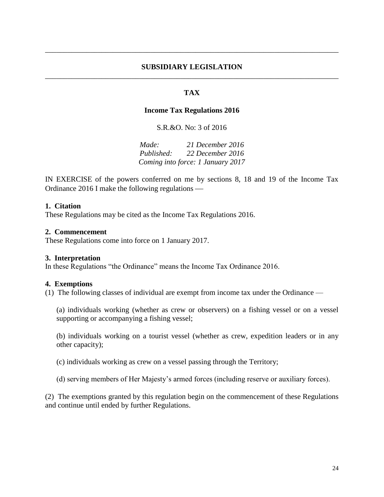#### **SUBSIDIARY LEGISLATION** \_\_\_\_\_\_\_\_\_\_\_\_\_\_\_\_\_\_\_\_\_\_\_\_\_\_\_\_\_\_\_\_\_\_\_\_\_\_\_\_\_\_\_\_\_\_\_\_\_\_\_\_\_\_\_\_\_\_\_\_\_\_\_\_\_\_\_\_\_\_\_\_\_\_\_\_\_\_

\_\_\_\_\_\_\_\_\_\_\_\_\_\_\_\_\_\_\_\_\_\_\_\_\_\_\_\_\_\_\_\_\_\_\_\_\_\_\_\_\_\_\_\_\_\_\_\_\_\_\_\_\_\_\_\_\_\_\_\_\_\_\_\_\_\_\_\_\_\_\_\_\_\_\_\_\_\_

## **TAX**

#### **Income Tax Regulations 2016**

S.R.&O. No: 3 of 2016

*Made: 21 December 2016 Published: 22 December 2016 Coming into force: 1 January 2017*

IN EXERCISE of the powers conferred on me by sections 8, 18 and 19 of the Income Tax Ordinance 2016 I make the following regulations

#### **1. Citation**

These Regulations may be cited as the Income Tax Regulations 2016.

#### **2. Commencement**

These Regulations come into force on 1 January 2017.

#### **3. Interpretation**

In these Regulations "the Ordinance" means the Income Tax Ordinance 2016.

#### **4. Exemptions**

(1) The following classes of individual are exempt from income tax under the Ordinance —

(a) individuals working (whether as crew or observers) on a fishing vessel or on a vessel supporting or accompanying a fishing vessel;

(b) individuals working on a tourist vessel (whether as crew, expedition leaders or in any other capacity);

(c) individuals working as crew on a vessel passing through the Territory;

(d) serving members of Her Majesty's armed forces (including reserve or auxiliary forces).

(2) The exemptions granted by this regulation begin on the commencement of these Regulations and continue until ended by further Regulations.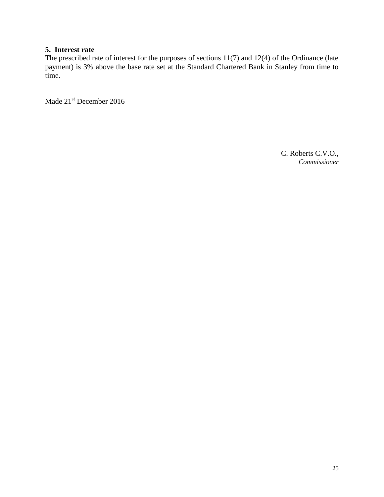# **5. Interest rate**

The prescribed rate of interest for the purposes of sections 11(7) and 12(4) of the Ordinance (late payment) is 3% above the base rate set at the Standard Chartered Bank in Stanley from time to time.

Made 21<sup>st</sup> December 2016

C. Roberts C.V.O., *Commissioner*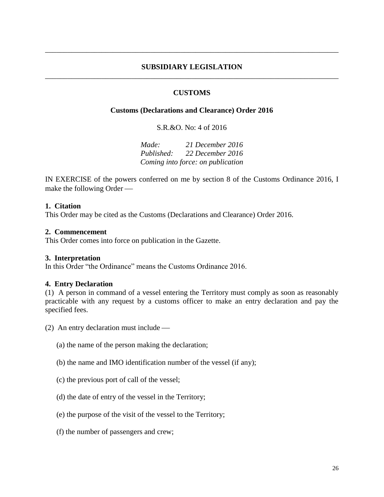#### **SUBSIDIARY LEGISLATION** \_\_\_\_\_\_\_\_\_\_\_\_\_\_\_\_\_\_\_\_\_\_\_\_\_\_\_\_\_\_\_\_\_\_\_\_\_\_\_\_\_\_\_\_\_\_\_\_\_\_\_\_\_\_\_\_\_\_\_\_\_\_\_\_\_\_\_\_\_\_\_\_\_\_\_\_\_\_

\_\_\_\_\_\_\_\_\_\_\_\_\_\_\_\_\_\_\_\_\_\_\_\_\_\_\_\_\_\_\_\_\_\_\_\_\_\_\_\_\_\_\_\_\_\_\_\_\_\_\_\_\_\_\_\_\_\_\_\_\_\_\_\_\_\_\_\_\_\_\_\_\_\_\_\_\_\_

#### **CUSTOMS**

#### **Customs (Declarations and Clearance) Order 2016**

S.R.&O. No: 4 of 2016

*Made: 21 December 2016 Published: 22 December 2016 Coming into force: on publication*

IN EXERCISE of the powers conferred on me by section 8 of the Customs Ordinance 2016, I make the following Order

#### **1. Citation**

This Order may be cited as the Customs (Declarations and Clearance) Order 2016.

#### **2. Commencement**

This Order comes into force on publication in the Gazette.

#### **3. Interpretation**

In this Order "the Ordinance" means the Customs Ordinance 2016.

#### **4. Entry Declaration**

(1) A person in command of a vessel entering the Territory must comply as soon as reasonably practicable with any request by a customs officer to make an entry declaration and pay the specified fees.

(2) An entry declaration must include

- (a) the name of the person making the declaration;
- (b) the name and IMO identification number of the vessel (if any);
- (c) the previous port of call of the vessel;
- (d) the date of entry of the vessel in the Territory;
- (e) the purpose of the visit of the vessel to the Territory;
- (f) the number of passengers and crew;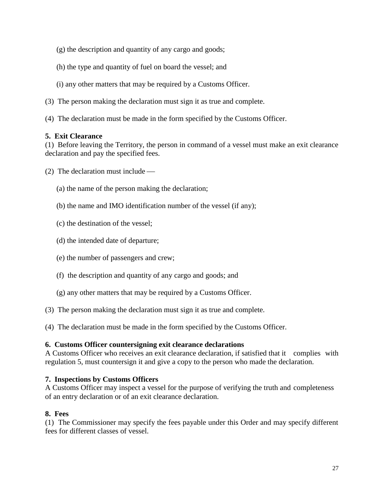- (g) the description and quantity of any cargo and goods;
- (h) the type and quantity of fuel on board the vessel; and
- (i) any other matters that may be required by a Customs Officer.
- (3) The person making the declaration must sign it as true and complete.
- (4) The declaration must be made in the form specified by the Customs Officer.

## **5. Exit Clearance**

(1) Before leaving the Territory, the person in command of a vessel must make an exit clearance declaration and pay the specified fees.

- (2) The declaration must include
	- (a) the name of the person making the declaration;
	- (b) the name and IMO identification number of the vessel (if any);
	- (c) the destination of the vessel;
	- (d) the intended date of departure;
	- (e) the number of passengers and crew;
	- (f) the description and quantity of any cargo and goods; and
	- (g) any other matters that may be required by a Customs Officer.
- (3) The person making the declaration must sign it as true and complete.
- (4) The declaration must be made in the form specified by the Customs Officer.

# **6. Customs Officer countersigning exit clearance declarations**

A Customs Officer who receives an exit clearance declaration, if satisfied that it complies with regulation 5, must countersign it and give a copy to the person who made the declaration.

# **7. Inspections by Customs Officers**

A Customs Officer may inspect a vessel for the purpose of verifying the truth and completeness of an entry declaration or of an exit clearance declaration.

# **8. Fees**

(1) The Commissioner may specify the fees payable under this Order and may specify different fees for different classes of vessel.